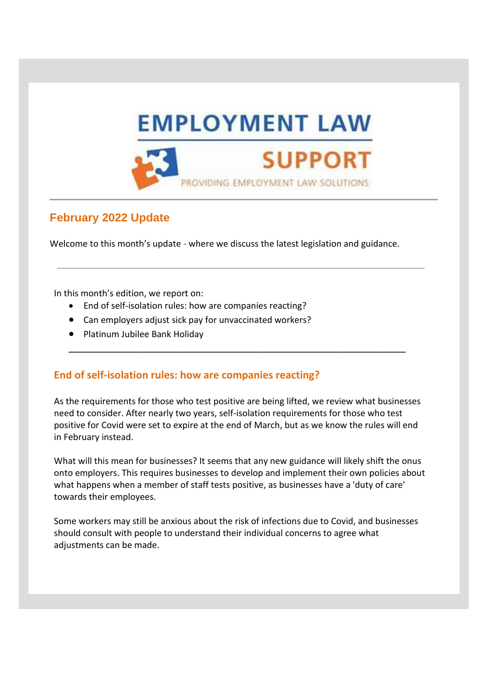

## **February 2022 Update**

Welcome to this month's update - where we discuss the latest legislation and guidance.

In this month's edition, we report on:

- End of self-isolation rules: how are companies reacting?
- Can employers adjust sick pay for unvaccinated workers?
- Platinum Jubilee Bank Holiday

## **End of self-isolation rules: how are companies reacting?**

As the requirements for those who test positive are being lifted, we review what businesses need to consider. After nearly two years, self-isolation requirements for those who test positive for Covid were set to expire at the end of March, but as we know the rules will end in February instead.

\_\_\_\_\_\_\_\_\_\_\_\_\_\_\_\_\_\_\_\_\_\_\_\_\_\_\_\_\_\_\_\_\_\_\_\_\_\_\_\_\_\_\_\_\_\_\_\_\_\_\_\_\_\_\_\_\_\_\_

What will this mean for businesses? It seems that any new guidance will likely shift the onus onto employers. This requires businesses to develop and implement their own policies about what happens when a member of staff tests positive, as businesses have a 'duty of care' towards their employees.

Some workers may still be anxious about the risk of infections due to Covid, and businesses should consult with people to understand their individual concerns to agree what adjustments can be made.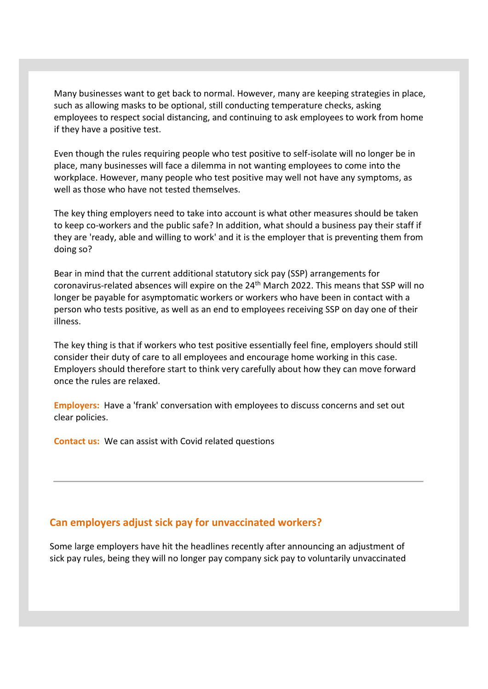Many businesses want to get back to normal. However, many are keeping strategies in place, such as allowing masks to be optional, still conducting temperature checks, asking employees to respect social distancing, and continuing to ask employees to work from home if they have a positive test.

Even though the rules requiring people who test positive to self-isolate will no longer be in place, many businesses will face a dilemma in not wanting employees to come into the workplace. However, many people who test positive may well not have any symptoms, as well as those who have not tested themselves.

The key thing employers need to take into account is what other measures should be taken to keep co-workers and the public safe? In addition, what should a business pay their staff if they are 'ready, able and willing to work' and it is the employer that is preventing them from doing so?

Bear in mind that the current additional statutory sick pay (SSP) arrangements for coronavirus-related absences will expire on the 24<sup>th</sup> March 2022. This means that SSP will no longer be payable for asymptomatic workers or workers who have been in contact with a person who tests positive, as well as an end to employees receiving SSP on day one of their illness.

The key thing is that if workers who test positive essentially feel fine, employers should still consider their duty of care to all employees and encourage home working in this case. Employers should therefore start to think very carefully about how they can move forward once the rules are relaxed.

**Employers:** Have a 'frank' conversation with employees to discuss concerns and set out clear policies.

**Contact us:** We can assist with Covid related questions

## **Can employers adjust sick pay for unvaccinated workers?**

Some large employers have hit the headlines recently after announcing an adjustment of sick pay rules, being they will no longer pay company sick pay to voluntarily unvaccinated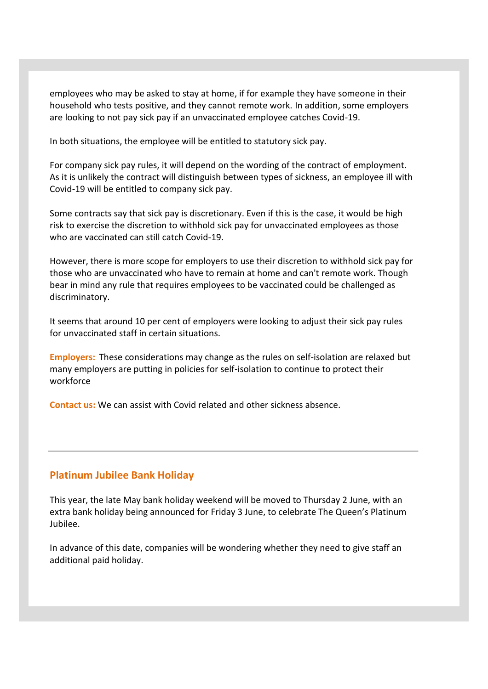employees who may be asked to stay at home, if for example they have someone in their household who tests positive, and they cannot remote work. In addition, some employers are looking to not pay sick pay if an unvaccinated employee catches Covid-19.

In both situations, the employee will be entitled to statutory sick pay.

For company sick pay rules, it will depend on the wording of the contract of employment. As it is unlikely the contract will distinguish between types of sickness, an employee ill with Covid-19 will be entitled to company sick pay.

Some contracts say that sick pay is discretionary. Even if this is the case, it would be high risk to exercise the discretion to withhold sick pay for unvaccinated employees as those who are vaccinated can still catch Covid-19.

However, there is more scope for employers to use their discretion to withhold sick pay for those who are unvaccinated who have to remain at home and can't remote work. Though bear in mind any rule that requires employees to be vaccinated could be challenged as discriminatory.

It seems that around 10 per cent of employers were looking to adjust their sick pay rules for unvaccinated staff in certain situations.

**Employers:** These considerations may change as the rules on self-isolation are relaxed but many employers are putting in policies for self-isolation to continue to protect their workforce

**Contact us:** We can assist with Covid related and other sickness absence.

## **Platinum Jubilee Bank Holiday**

This year, the late May bank holiday weekend will be moved to Thursday 2 June, with an extra bank holiday being announced for Friday 3 June, to celebrate The Queen's Platinum Jubilee.

In advance of this date, companies will be wondering whether they need to give staff an additional paid holiday.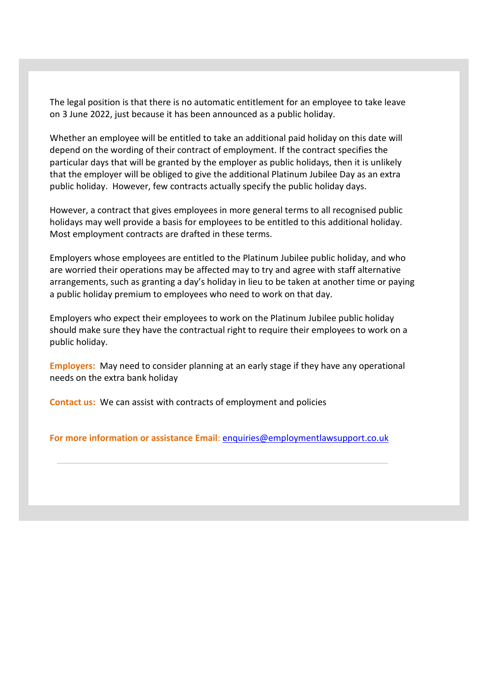The legal position is that there is no automatic entitlement for an employee to take leave on 3 June 2022, just because it has been announced as a public holiday.

Whether an employee will be entitled to take an additional paid holiday on this date will depend on the wording of their contract of employment. If the contract specifies the particular days that will be granted by the employer as public holidays, then it is unlikely that the employer will be obliged to give the additional Platinum Jubilee Day as an extra public holiday. However, few contracts actually specify the public holiday days.

However, a contract that gives employees in more general terms to all recognised public holidays may well provide a basis for employees to be entitled to this additional holiday. Most employment contracts are drafted in these terms.

Employers whose employees are entitled to the Platinum Jubilee public holiday, and who are worried their operations may be affected may to try and agree with staff alternative arrangements, such as granting a day's holiday in lieu to be taken at another time or paying a public holiday premium to employees who need to work on that day.

Employers who expect their employees to work on the Platinum Jubilee public holiday should make sure they have the contractual right to require their employees to work on a public holiday.

**Employers:** May need to consider planning at an early stage if they have any operational needs on the extra bank holiday

**Contact us:** We can assist with contracts of employment and policies

**For more information or assistance Email**: [enquiries@employmentlawsupport.co.uk](mailto:enquiries@employmentlawsupport.co.uk)